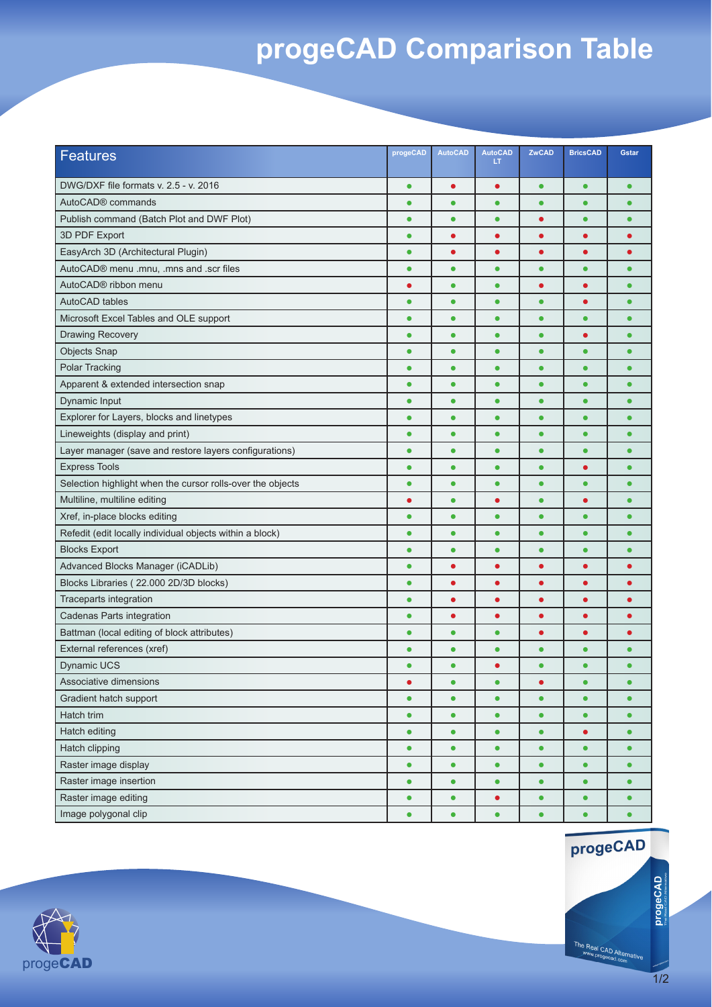## **progeCAD Comparison Table**

| Features                                                   | progeCAD  | <b>AutoCAD</b> | <b>AutoCAD</b><br>LT | ZwCAD     | <b>BricsCAD</b> | <b>Gstar</b> |
|------------------------------------------------------------|-----------|----------------|----------------------|-----------|-----------------|--------------|
| DWG/DXF file formats v. 2.5 - v. 2016                      | $\bullet$ |                | $\bullet$            | $\bullet$ | $\bullet$       | ٠            |
| AutoCAD <sup>®</sup> commands                              | $\bullet$ | $\bullet$      | $\bullet$            | $\bullet$ | $\bullet$       | $\bullet$    |
| Publish command (Batch Plot and DWF Plot)                  | $\bullet$ | $\bullet$      | $\bullet$            | $\bullet$ | $\bullet$       | $\bullet$    |
| 3D PDF Export                                              | $\bullet$ | $\bullet$      | ٠                    | ٠         | $\bullet$       | ٠            |
| EasyArch 3D (Architectural Plugin)                         | $\bullet$ |                | Ō                    | ٠         | ٠               |              |
| AutoCAD® menu .mnu, .mns and .scr files                    | $\bullet$ | $\bullet$      | $\bullet$            | $\bullet$ | $\bullet$       |              |
| AutoCAD® ribbon menu                                       | $\bullet$ | $\bullet$      | $\bullet$            | $\bullet$ | $\bullet$       | ٠            |
| <b>AutoCAD</b> tables                                      | $\bullet$ | ٠              | $\bullet$            | $\bullet$ | $\bullet$       | $\bullet$    |
| Microsoft Excel Tables and OLE support                     | $\bullet$ | $\bullet$      | $\bullet$            | $\bullet$ | $\bullet$       | $\bullet$    |
| <b>Drawing Recovery</b>                                    | $\bullet$ | $\bullet$      | $\bullet$            | $\bullet$ | $\bullet$       | $\bullet$    |
| <b>Objects Snap</b>                                        | $\bullet$ | $\bullet$      | $\bullet$            | $\bullet$ | $\bullet$       |              |
| <b>Polar Tracking</b>                                      | $\bullet$ | $\bullet$      | $\bullet$            | $\bullet$ | $\bullet$       | ٠            |
| Apparent & extended intersection snap                      | $\bullet$ | $\bullet$      | $\bullet$            | $\bullet$ | $\bullet$       | $\bullet$    |
| Dynamic Input                                              | $\bullet$ | $\bullet$      | $\bullet$            | $\bullet$ | $\bullet$       |              |
| Explorer for Layers, blocks and linetypes                  | $\bullet$ | $\bullet$      | $\bullet$            | $\bullet$ | $\bullet$       | $\bullet$    |
| Lineweights (display and print)                            | $\bullet$ | $\bullet$      | $\bullet$            | $\bullet$ | $\bullet$       | $\bullet$    |
| Layer manager (save and restore layers configurations)     | $\bullet$ | ٠              | $\bullet$            | $\bullet$ | $\bullet$       | ٠            |
| <b>Express Tools</b>                                       | $\bullet$ | $\bullet$      | $\bullet$            | $\bullet$ | $\bullet$       | $\bullet$    |
| Selection highlight when the cursor rolls-over the objects | $\bullet$ | $\bullet$      | $\bullet$            | $\bullet$ | $\bullet$       | ٠            |
| Multiline, multiline editing                               | $\bullet$ | $\bullet$      | $\bullet$            | $\bullet$ | $\bullet$       | $\bullet$    |
| Xref, in-place blocks editing                              | $\bullet$ | $\bullet$      | $\bullet$            | $\bullet$ | $\bullet$       | $\bullet$    |
| Refedit (edit locally individual objects within a block)   | $\bullet$ | $\bullet$      | $\bullet$            | $\bullet$ | $\bullet$       | ٠            |
| <b>Blocks Export</b>                                       | $\bullet$ | $\bullet$      | $\bullet$            | $\bullet$ | $\bullet$       | $\bullet$    |
| Advanced Blocks Manager (iCADLib)                          | $\bullet$ |                |                      |           | $\bullet$       |              |
| Blocks Libraries (22.000 2D/3D blocks)                     | $\bullet$ | $\bullet$      | $\bullet$            | $\bullet$ | $\bullet$       |              |
| Traceparts integration                                     | $\bullet$ | $\bullet$      | $\bullet$            | $\bullet$ | $\bullet$       |              |
| Cadenas Parts integration                                  | $\bullet$ |                | $\bullet$            | $\bullet$ | $\bullet$       |              |
| Battman (local editing of block attributes)                | $\bullet$ | $\bullet$      | $\bullet$            | ٠         | $\bullet$       |              |
| External references (xref)                                 | $\bullet$ | $\bullet$      | $\bullet$            | $\bullet$ | $\bullet$       | $\bullet$    |
| <b>Dynamic UCS</b>                                         | $\bullet$ | $\bullet$      | $\bullet$            | $\bullet$ | $\bullet$       | $\bullet$    |
| Associative dimensions                                     |           |                | $\bullet$            |           |                 |              |
| Gradient hatch support                                     | $\bullet$ | $\bullet$      | $\bullet$            | $\bullet$ | $\bullet$       | $\bullet$    |
| Hatch trim                                                 | $\bullet$ | $\bullet$      | $\bullet$            | $\bullet$ | $\bullet$       | $\bullet$    |
| Hatch editing                                              | $\bullet$ | $\bullet$      | $\bullet$            | $\bullet$ | $\bullet$       | $\bullet$    |
| Hatch clipping                                             | $\bullet$ | $\bullet$      | $\bullet$            | $\bullet$ | $\bullet$       | $\bullet$    |
| Raster image display                                       | $\bullet$ | $\bullet$      | $\bullet$            | $\bullet$ | $\bullet$       | $\bullet$    |
| Raster image insertion                                     | $\bullet$ | $\bullet$      | $\bullet$            | $\bullet$ | $\bullet$       | $\bullet$    |
| Raster image editing                                       | $\bullet$ | $\bullet$      | $\bullet$            | $\bullet$ | $\bullet$       | $\bullet$    |
| Image polygonal clip                                       | $\bullet$ | $\bullet$      | $\bullet$            | $\bullet$ | $\bullet$       | $\bullet$    |